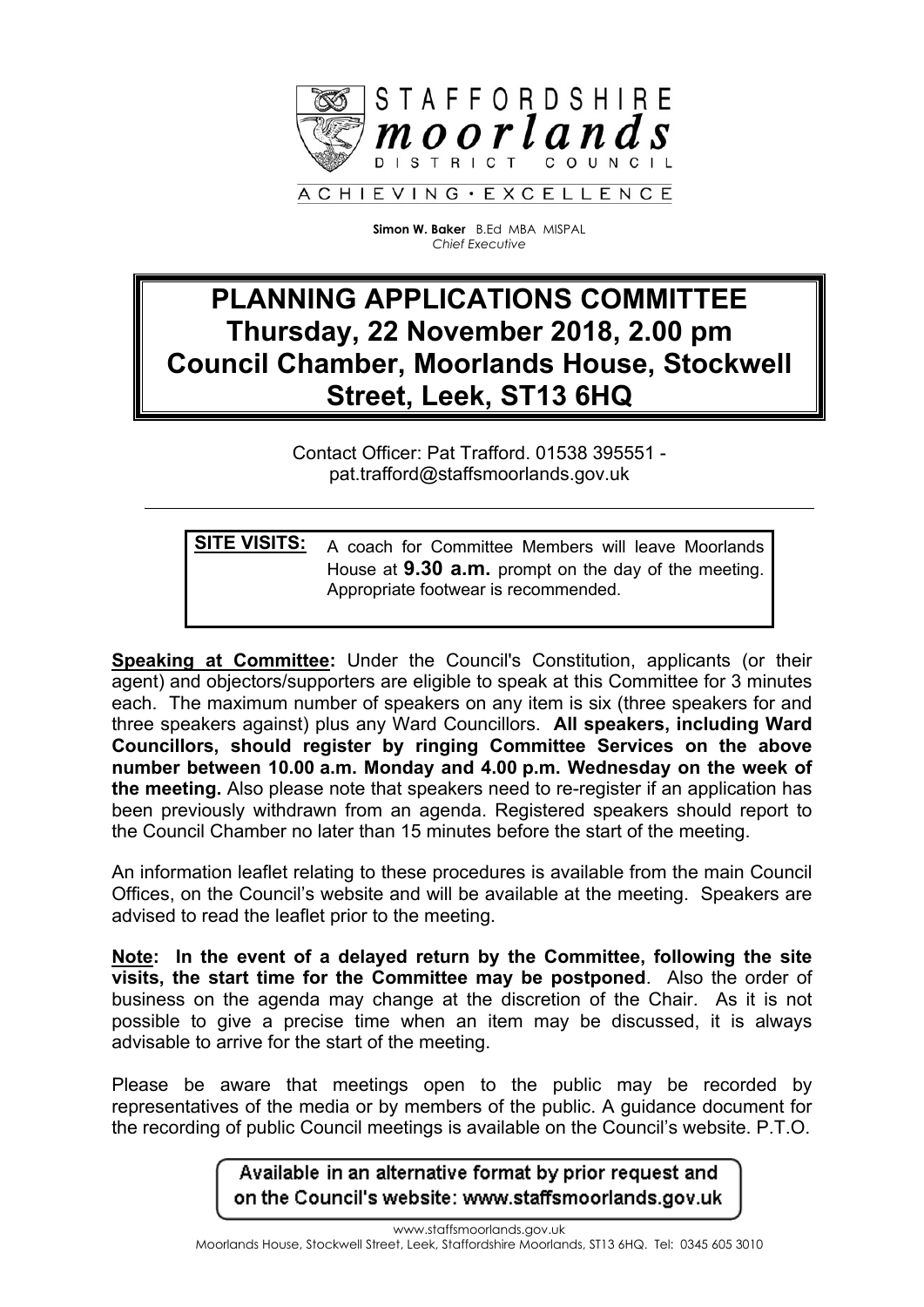

**Simon W. Baker** B.Ed MBA MISPAL *Chief Executive*

# **PLANNING APPLICATIONS COMMITTEE Thursday, 22 November 2018, 2.00 pm Council Chamber, Moorlands House, Stockwell Street, Leek, ST13 6HQ**

Contact Officer: Pat Trafford. 01538 395551 pat.trafford@staffsmoorlands.gov.uk

**SITE VISITS:** A coach for Committee Members will leave Moorlands House at **9.30 a.m.** prompt on the day of the meeting. Appropriate footwear is recommended.

**Speaking at Committee:** Under the Council's Constitution, applicants (or their agent) and objectors/supporters are eligible to speak at this Committee for 3 minutes each. The maximum number of speakers on any item is six (three speakers for and three speakers against) plus any Ward Councillors. **All speakers, including Ward Councillors, should register by ringing Committee Services on the above number between 10.00 a.m. Monday and 4.00 p.m. Wednesday on the week of the meeting.** Also please note that speakers need to re-register if an application has been previously withdrawn from an agenda. Registered speakers should report to the Council Chamber no later than 15 minutes before the start of the meeting.

An information leaflet relating to these procedures is available from the main Council Offices, on the Council's website and will be available at the meeting. Speakers are advised to read the leaflet prior to the meeting.

**Note: In the event of a delayed return by the Committee, following the site visits, the start time for the Committee may be postponed**. Also the order of business on the agenda may change at the discretion of the Chair. As it is not possible to give a precise time when an item may be discussed, it is always advisable to arrive for the start of the meeting.

Please be aware that meetings open to the public may be recorded by representatives of the media or by members of the public. A guidance document for the recording of public Council meetings is available on the Council's website. P.T.O.

> Available in an alternative format by prior request and on the Council's website: www.staffsmoorlands.gov.uk

www.staffsmoorlands.gov.uk Moorlands House, Stockwell Street, Leek, Staffordshire Moorlands, ST13 6HQ. Tel: 0345 605 3010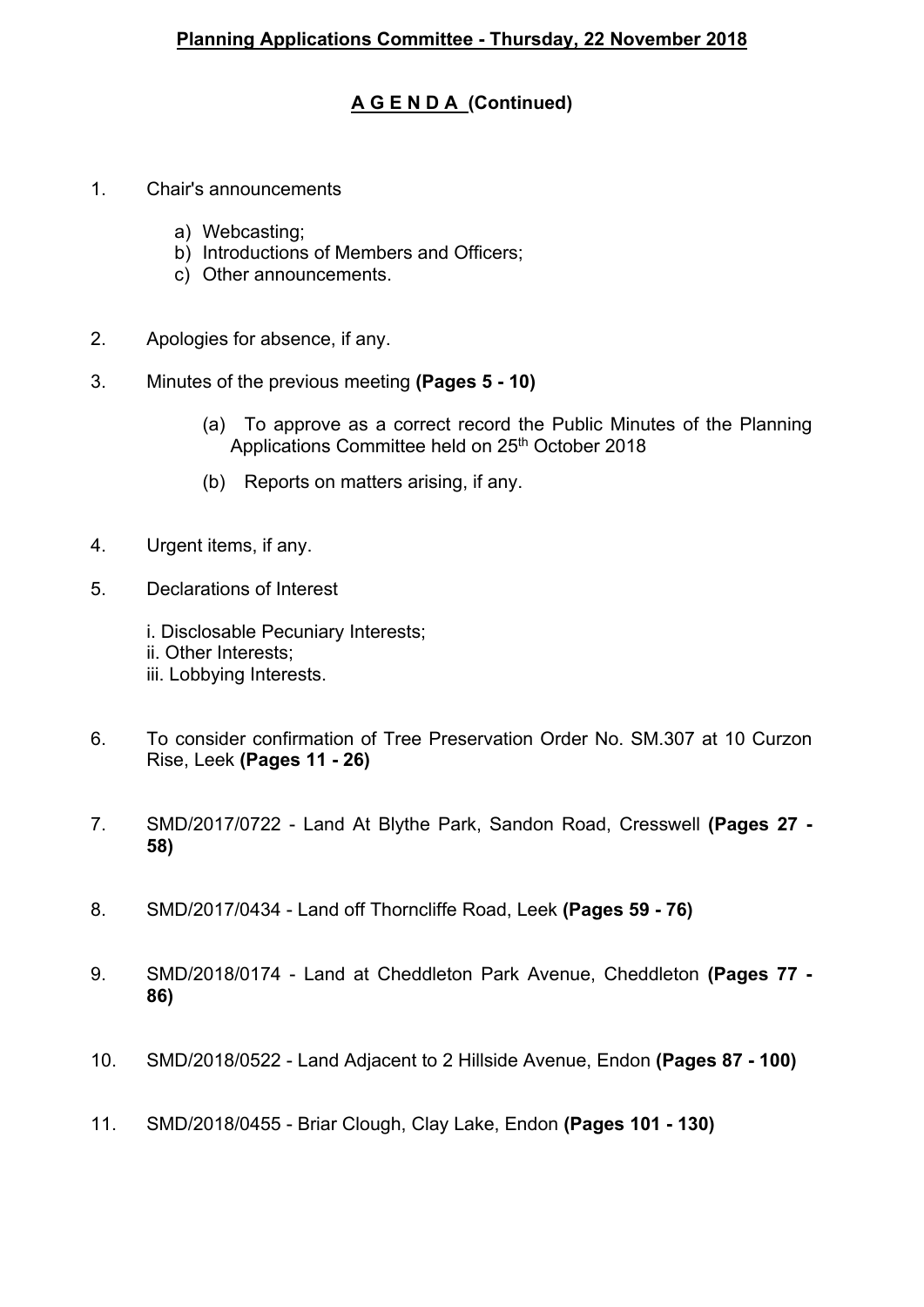## **A G E N D A (Continued)**

- 1. Chair's announcements
	- a) Webcasting;
	- b) Introductions of Members and Officers;
	- c) Other announcements.
- 2. Apologies for absence, if any.
- 3. Minutes of the previous meeting **(Pages 5 - 10)**
	- (a) To approve as a correct record the Public Minutes of the Planning Applications Committee held on 25<sup>th</sup> October 2018
	- (b) Reports on matters arising, if any.
- 4. Urgent items, if any.
- 5. Declarations of Interest

i. Disclosable Pecuniary Interests; ii. Other Interests; iii. Lobbying Interests.

- 6. To consider confirmation of Tree Preservation Order No. SM.307 at 10 Curzon Rise, Leek **(Pages 11 - 26)**
- 7. SMD/2017/0722 Land At Blythe Park, Sandon Road, Cresswell **(Pages 27 - 58)**
- 8. SMD/2017/0434 Land off Thorncliffe Road, Leek **(Pages 59 - 76)**
- 9. SMD/2018/0174 Land at Cheddleton Park Avenue, Cheddleton **(Pages 77 - 86)**
- 10. SMD/2018/0522 Land Adjacent to 2 Hillside Avenue, Endon **(Pages 87 - 100)**
- 11. SMD/2018/0455 Briar Clough, Clay Lake, Endon **(Pages 101 - 130)**